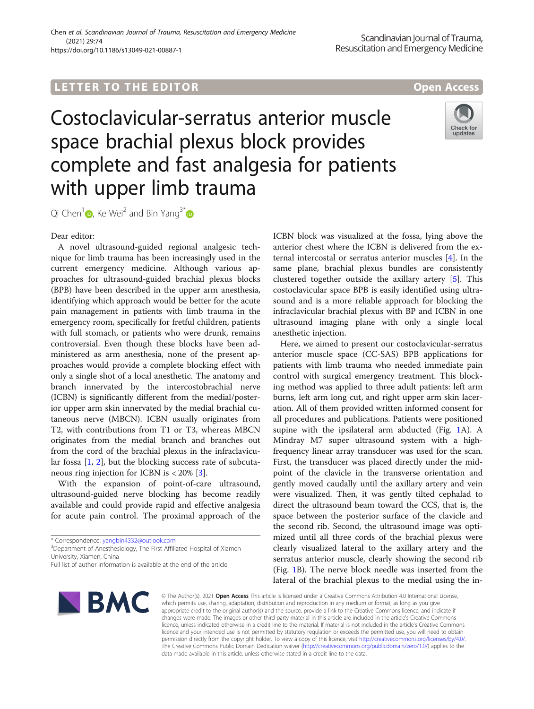# L E T T ER TOR OPEN ACCESS TO THE EXPLORATION OF THE EXPLORATION OF THE EXPLORATION OF THE EXPLORATION OF THE

# Costoclavicular-serratus anterior muscle space brachial plexus block provides complete and fast analgesia for patients with upper limb trauma



Qi Chen<sup>1</sup>  $\bullet$ [,](http://orcid.org/0000-0002-8711-155X) Ke Wei<sup>2</sup> and Bin Yang<sup>3[\\*](http://orcid.org/0000-0002-6604-5565)</sup>  $\bullet$ 

Dear editor:

A novel ultrasound-guided regional analgesic technique for limb trauma has been increasingly used in the current emergency medicine. Although various approaches for ultrasound-guided brachial plexus blocks (BPB) have been described in the upper arm anesthesia, identifying which approach would be better for the acute pain management in patients with limb trauma in the emergency room, specifically for fretful children, patients with full stomach, or patients who were drunk, remains controversial. Even though these blocks have been administered as arm anesthesia, none of the present approaches would provide a complete blocking effect with only a single shot of a local anesthetic. The anatomy and branch innervated by the intercostobrachial nerve (ICBN) is significantly different from the medial/posterior upper arm skin innervated by the medial brachial cutaneous nerve (MBCN). ICBN usually originates from T2, with contributions from T1 or T3, whereas MBCN originates from the medial branch and branches out from the cord of the brachial plexus in the infraclavicular fossa [\[1,](#page-1-0) [2](#page-1-0)], but the blocking success rate of subcutaneous ring injection for ICBN is < 20% [\[3](#page-1-0)].

With the expansion of point-of-care ultrasound, ultrasound-guided nerve blocking has become readily available and could provide rapid and effective analgesia for acute pain control. The proximal approach of the

Full list of author information is available at the end of the article



ICBN block was visualized at the fossa, lying above the anterior chest where the ICBN is delivered from the external intercostal or serratus anterior muscles [\[4\]](#page-1-0). In the same plane, brachial plexus bundles are consistently clustered together outside the axillary artery [\[5\]](#page-1-0). This costoclavicular space BPB is easily identified using ultrasound and is a more reliable approach for blocking the infraclavicular brachial plexus with BP and ICBN in one ultrasound imaging plane with only a single local anesthetic injection.

Here, we aimed to present our costoclavicular-serratus anterior muscle space (CC-SAS) BPB applications for patients with limb trauma who needed immediate pain control with surgical emergency treatment. This blocking method was applied to three adult patients: left arm burns, left arm long cut, and right upper arm skin laceration. All of them provided written informed consent for all procedures and publications. Patients were positioned supine with the ipsilateral arm abducted (Fig. [1](#page-1-0)A). A Mindray M7 super ultrasound system with a highfrequency linear array transducer was used for the scan. First, the transducer was placed directly under the midpoint of the clavicle in the transverse orientation and gently moved caudally until the axillary artery and vein were visualized. Then, it was gently tilted cephalad to direct the ultrasound beam toward the CCS, that is, the space between the posterior surface of the clavicle and the second rib. Second, the ultrasound image was optimized until all three cords of the brachial plexus were clearly visualized lateral to the axillary artery and the serratus anterior muscle, clearly showing the second rib (Fig. [1B](#page-1-0)). The nerve block needle was inserted from the lateral of the brachial plexus to the medial using the in-

© The Author(s). 2021 Open Access This article is licensed under a Creative Commons Attribution 4.0 International License, which permits use, sharing, adaptation, distribution and reproduction in any medium or format, as long as you give appropriate credit to the original author(s) and the source, provide a link to the Creative Commons licence, and indicate if changes were made. The images or other third party material in this article are included in the article's Creative Commons licence, unless indicated otherwise in a credit line to the material. If material is not included in the article's Creative Commons licence and your intended use is not permitted by statutory regulation or exceeds the permitted use, you will need to obtain permission directly from the copyright holder. To view a copy of this licence, visit [http://creativecommons.org/licenses/by/4.0/.](http://creativecommons.org/licenses/by/4.0/) The Creative Commons Public Domain Dedication waiver [\(http://creativecommons.org/publicdomain/zero/1.0/](http://creativecommons.org/publicdomain/zero/1.0/)) applies to the data made available in this article, unless otherwise stated in a credit line to the data.

<sup>\*</sup> Correspondence: [yangbin4332@outlook.com](mailto:yangbin4332@outlook.com) <sup>3</sup>

<sup>&</sup>lt;sup>3</sup>Department of Anesthesiology, The First Affiliated Hospital of Xiamen University, Xiamen, China